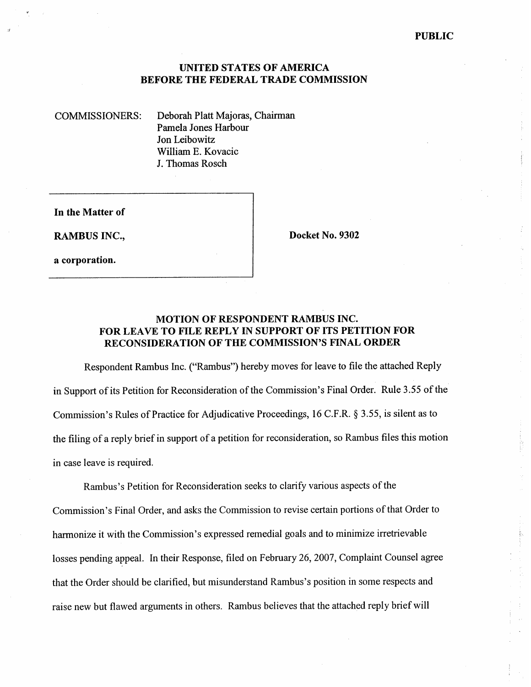## **UNITED STATES OF AMERICA BEFORE THE FEDERAL TRADE COMMISSION**

COMMISSIONERS: Deborah Platt Majoras, Chairman Pamela Jones Harbour Jon Leibowitz William E. Kovacic J. Thomas Rosch

**In the Matter of** 

**a corporation.** 

**RAMBUS INC., Docket No. 9302** 

## **MOTION OF RESPONDENT RAMBUS INC. FOR LEAVE TO FILE REPLY IN SUPPORT OF ITS PETITION FOR RECONSIDERATION OF THE COMMISSION'S FINAL ORDER**

Respondent Rambus Inc. ("Rambus") hereby moves for leave to file the attached Reply in Support of its Petition for Reconsideration of the Commission's Final Order. Rule 3.55 of the Commission's Rules of Practice for Adjudicative Proceedings, 16 C.F.R. *5* 3.55, is silent as to the filing of a reply brief in support of a petition for reconsideration, so Rambus files this motion in case leave is required.

Rambus's Petition for Reconsideration seeks to clarify various aspects of the Commission's Final Order, and asks the Commission to revise certain portions of that Order to harmonize it with the Commission's expressed remedial goals and to minimize irretrievable losses pending appeal. In their Response, filed on February 26,2007, Complaint Counsel agree that the Order should be clarified, but misunderstand Rambus's position in some respects and raise new but flawed arguments in others. Rambus believes that the attached reply brief will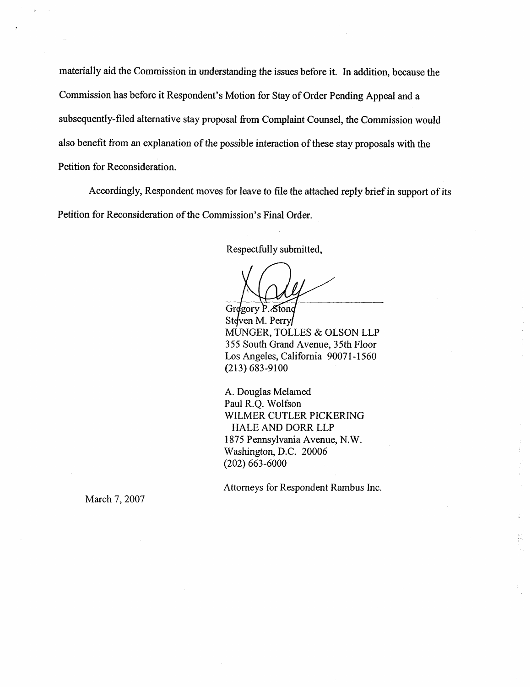materially aid the Commission in understanding the issues before it. In addition, because the Commission has before it Respondent's Motion for Stay of Order Pending Appeal and a subsequently-filed alternative stay proposal from Complaint Counsel, the Commission would also benefit from an explanation of the possible interaction of these stay proposals with the Petition for Reconsideration.

Accordingly, Respondent moves for leave to file the attached reply brief in support of its Petition for Reconsideration of the Commission's Final Order.

Respectfully submitted,

Gregory P. Stone Steven M. Perry MUNGER, TOLLES & OLSON LLP 355 South Grand Avenue, 35th Floor Los Angeles, California 90071-1560 (213) 683-9100

A. Douglas Melamed Paul R.Q. Wolfson WILMER CUTLER PICKERING HALE AND DORR LLP 1 875 Pennsylvania Avenue, N. W. Washington, D.C. 20006 (202) 663-6000

Attorneys for Respondent Rambus Inc.

March 7, 2007